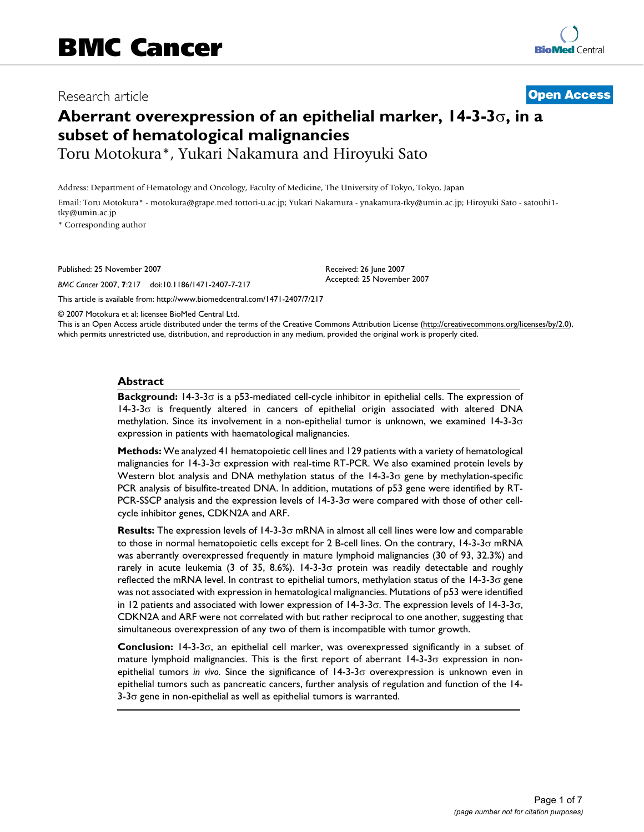# Research article **[Open Access](http://www.biomedcentral.com/info/about/charter/)**

# **Aberrant overexpression of an epithelial marker, 14-3-3**σ**, in a subset of hematological malignancies**

Toru Motokura\*, Yukari Nakamura and Hiroyuki Sato

Address: Department of Hematology and Oncology, Faculty of Medicine, The University of Tokyo, Tokyo, Japan

Email: Toru Motokura\* - motokura@grape.med.tottori-u.ac.jp; Yukari Nakamura - ynakamura-tky@umin.ac.jp; Hiroyuki Sato - satouhi1 tky@umin.ac.jp

\* Corresponding author

Published: 25 November 2007

*BMC Cancer* 2007, **7**:217 doi:10.1186/1471-2407-7-217

[This article is available from: http://www.biomedcentral.com/1471-2407/7/217](http://www.biomedcentral.com/1471-2407/7/217)

© 2007 Motokura et al; licensee BioMed Central Ltd.

This is an Open Access article distributed under the terms of the Creative Commons Attribution License [\(http://creativecommons.org/licenses/by/2.0\)](http://creativecommons.org/licenses/by/2.0), which permits unrestricted use, distribution, and reproduction in any medium, provided the original work is properly cited.

Received: 26 June 2007 Accepted: 25 November 2007

#### **Abstract**

**Background:** 14-3-3σ is a p53-mediated cell-cycle inhibitor in epithelial cells. The expression of 14-3-3σ is frequently altered in cancers of epithelial origin associated with altered DNA methylation. Since its involvement in a non-epithelial tumor is unknown, we examined  $14-3-3\sigma$ expression in patients with haematological malignancies.

**Methods:** We analyzed 41 hematopoietic cell lines and 129 patients with a variety of hematological malignancies for 14-3-3σ expression with real-time RT-PCR. We also examined protein levels by Western blot analysis and DNA methylation status of the 14-3-3σ gene by methylation-specific PCR analysis of bisulfite-treated DNA. In addition, mutations of p53 gene were identified by RT-PCR-SSCP analysis and the expression levels of 14-3-3σ were compared with those of other cellcycle inhibitor genes, CDKN2A and ARF.

**Results:** The expression levels of 14-3-3σ mRNA in almost all cell lines were low and comparable to those in normal hematopoietic cells except for 2 B-cell lines. On the contrary, 14-3-3σ mRNA was aberrantly overexpressed frequently in mature lymphoid malignancies (30 of 93, 32.3%) and rarely in acute leukemia (3 of 35, 8.6%). 14-3-3 $\sigma$  protein was readily detectable and roughly reflected the mRNA level. In contrast to epithelial tumors, methylation status of the 14-3-3σ gene was not associated with expression in hematological malignancies. Mutations of p53 were identified in 12 patients and associated with lower expression of  $14-3-3\sigma$ . The expression levels of  $14-3-3\sigma$ , CDKN2A and ARF were not correlated with but rather reciprocal to one another, suggesting that simultaneous overexpression of any two of them is incompatible with tumor growth.

**Conclusion:** 14-3-3σ, an epithelial cell marker, was overexpressed significantly in a subset of mature lymphoid malignancies. This is the first report of aberrant 14-3-3σ expression in nonepithelial tumors *in vivo*. Since the significance of 14-3-3σ overexpression is unknown even in epithelial tumors such as pancreatic cancers, further analysis of regulation and function of the 14- 3-3σ gene in non-epithelial as well as epithelial tumors is warranted.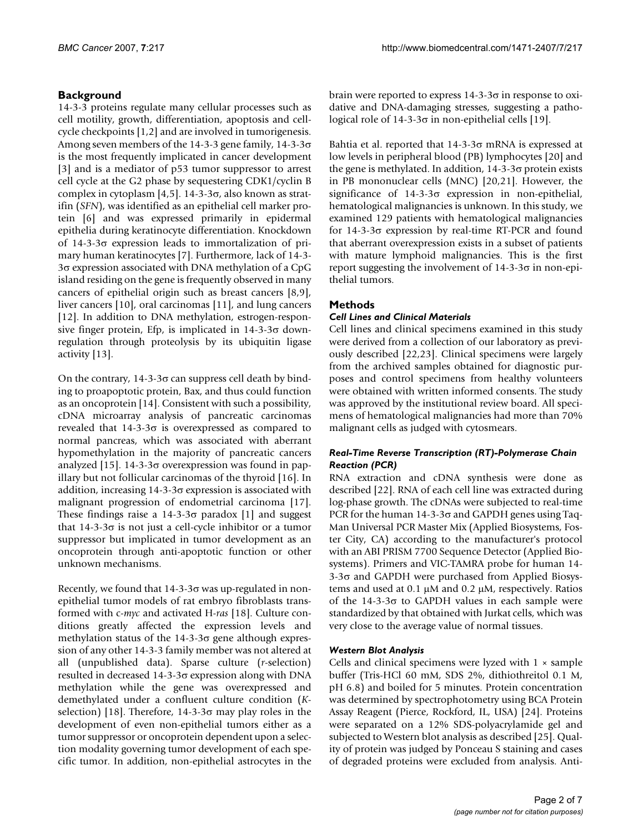# **Background**

14-3-3 proteins regulate many cellular processes such as cell motility, growth, differentiation, apoptosis and cellcycle checkpoints [1,2] and are involved in tumorigenesis. Among seven members of the 14-3-3 gene family, 14-3-3σ is the most frequently implicated in cancer development [3] and is a mediator of p53 tumor suppressor to arrest cell cycle at the G2 phase by sequestering CDK1/cyclin B complex in cytoplasm [4,5]. 14-3-3 $\sigma$ , also known as stratifin (*SFN*), was identified as an epithelial cell marker protein [6] and was expressed primarily in epidermal epithelia during keratinocyte differentiation. Knockdown of 14-3-3σ expression leads to immortalization of primary human keratinocytes [7]. Furthermore, lack of 14-3- 3σ expression associated with DNA methylation of a CpG island residing on the gene is frequently observed in many cancers of epithelial origin such as breast cancers [8,9], liver cancers [10], oral carcinomas [11], and lung cancers [12]. In addition to DNA methylation, estrogen-responsive finger protein, Efp, is implicated in  $14-3-3\sigma$  downregulation through proteolysis by its ubiquitin ligase activity [13].

On the contrary,  $14-3-3\sigma$  can suppress cell death by binding to proapoptotic protein, Bax, and thus could function as an oncoprotein [14]. Consistent with such a possibility, cDNA microarray analysis of pancreatic carcinomas revealed that  $14-3-3\sigma$  is overexpressed as compared to normal pancreas, which was associated with aberrant hypomethylation in the majority of pancreatic cancers analyzed [15]. 14-3-3 $\sigma$  overexpression was found in papillary but not follicular carcinomas of the thyroid [16]. In addition, increasing  $14-3-3\sigma$  expression is associated with malignant progression of endometrial carcinoma [17]. These findings raise a  $14-3-3\sigma$  paradox [1] and suggest that 14-3-3σ is not just a cell-cycle inhibitor or a tumor suppressor but implicated in tumor development as an oncoprotein through anti-apoptotic function or other unknown mechanisms.

Recently, we found that  $14-3-3\sigma$  was up-regulated in nonepithelial tumor models of rat embryo fibroblasts transformed with c-*myc* and activated H-*ras* [18]. Culture conditions greatly affected the expression levels and methylation status of the 14-3-3σ gene although expression of any other 14-3-3 family member was not altered at all (unpublished data). Sparse culture (*r*-selection) resulted in decreased 14-3-3σ expression along with DNA methylation while the gene was overexpressed and demethylated under a confluent culture condition (*K*selection) [18]. Therefore, 14-3-3 $\sigma$  may play roles in the development of even non-epithelial tumors either as a tumor suppressor or oncoprotein dependent upon a selection modality governing tumor development of each specific tumor. In addition, non-epithelial astrocytes in the brain were reported to express 14-3-3σ in response to oxidative and DNA-damaging stresses, suggesting a pathological role of  $14-3-3σ$  in non-epithelial cells [19].

Bahtia et al. reported that 14-3-3σ mRNA is expressed at low levels in peripheral blood (PB) lymphocytes [20] and the gene is methylated. In addition,  $14-3-3\sigma$  protein exists in PB mononuclear cells (MNC) [20,21]. However, the significance of  $14-3-3\sigma$  expression in non-epithelial, hematological malignancies is unknown. In this study, we examined 129 patients with hematological malignancies for 14-3-3σ expression by real-time RT-PCR and found that aberrant overexpression exists in a subset of patients with mature lymphoid malignancies. This is the first report suggesting the involvement of  $14-3-3σ$  in non-epithelial tumors.

# **Methods**

# *Cell Lines and Clinical Materials*

Cell lines and clinical specimens examined in this study were derived from a collection of our laboratory as previously described [22,23]. Clinical specimens were largely from the archived samples obtained for diagnostic purposes and control specimens from healthy volunteers were obtained with written informed consents. The study was approved by the institutional review board. All specimens of hematological malignancies had more than 70% malignant cells as judged with cytosmears.

# *Real-Time Reverse Transcription (RT)-Polymerase Chain Reaction (PCR)*

RNA extraction and cDNA synthesis were done as described [22]. RNA of each cell line was extracted during log-phase growth. The cDNAs were subjected to real-time PCR for the human 14-3-3σ and GAPDH genes using Taq-Man Universal PCR Master Mix (Applied Biosystems, Foster City, CA) according to the manufacturer's protocol with an ABI PRISM 7700 Sequence Detector (Applied Biosystems). Primers and VIC-TAMRA probe for human 14- 3-3σ and GAPDH were purchased from Applied Biosystems and used at 0.1 µM and 0.2 µM, respectively. Ratios of the 14-3-3 $\sigma$  to GAPDH values in each sample were standardized by that obtained with Jurkat cells, which was very close to the average value of normal tissues.

# *Western Blot Analysis*

Cells and clinical specimens were lyzed with  $1 \times$  sample buffer (Tris-HCl 60 mM, SDS 2%, dithiothreitol 0.1 M, pH 6.8) and boiled for 5 minutes. Protein concentration was determined by spectrophotometry using BCA Protein Assay Reagent (Pierce, Rockford, IL, USA) [24]. Proteins were separated on a 12% SDS-polyacrylamide gel and subjected to Western blot analysis as described [25]. Quality of protein was judged by Ponceau S staining and cases of degraded proteins were excluded from analysis. Anti-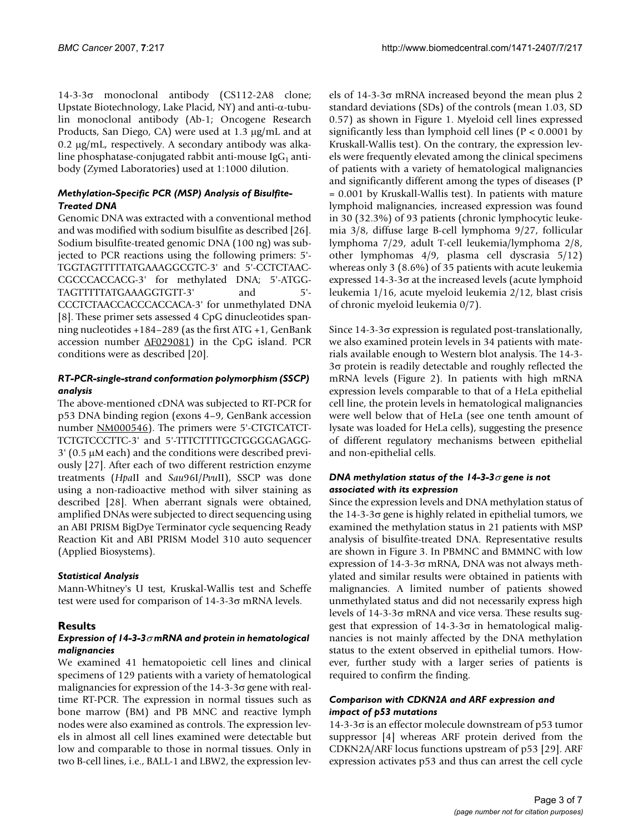14-3-3σ monoclonal antibody (CS112-2A8 clone; Upstate Biotechnology, Lake Placid, NY) and anti-α-tubulin monoclonal antibody (Ab-1; Oncogene Research Products, San Diego, CA) were used at 1.3 µg/mL and at 0.2 µg/mL, respectively. A secondary antibody was alkaline phosphatase-conjugated rabbit anti-mouse  $\lg G_1$  antibody (Zymed Laboratories) used at 1:1000 dilution.

# *Methylation-Specific PCR (MSP) Analysis of Bisulfite-Treated DNA*

Genomic DNA was extracted with a conventional method and was modified with sodium bisulfite as described [26]. Sodium bisulfite-treated genomic DNA (100 ng) was subjected to PCR reactions using the following primers: 5'- TGGTAGTTTTTATGAAAGGCGTC-3' and 5'-CCTCTAAC-CGCCCACCACG-3' for methylated DNA; 5'-ATGG-TAGTTTTTATGAAAGGTGTT-3' and 5'-CCCTCTAACCACCCACCACA-3' for unmethylated DNA [8]. These primer sets assessed 4 CpG dinucleotides spanning nucleotides +184–289 (as the first ATG +1, GenBank accession number [AF029081\)](http://www.ncbi.nih.gov/entrez/query.fcgi?db=Nucleotide&cmd=search&term=AF029081) in the CpG island. PCR conditions were as described [20].

#### *RT-PCR-single-strand conformation polymorphism (SSCP) analysis*

The above-mentioned cDNA was subjected to RT-PCR for p53 DNA binding region (exons 4–9, GenBank accession number [NM000546\)](http://www.ncbi.nih.gov/entrez/query.fcgi?db=Nucleotide&cmd=search&term=NM000546). The primers were 5'-CTGTCATCT-TCTGTCCCTTC-3' and 5'-TTTCTTTTGCTGGGGAGAGG-3' (0.5 µM each) and the conditions were described previously [27]. After each of two different restriction enzyme treatments (*Hpa*II and *Sau*96I/*Pvu*II), SSCP was done using a non-radioactive method with silver staining as described [28]. When aberrant signals were obtained, amplified DNAs were subjected to direct sequencing using an ABI PRISM BigDye Terminator cycle sequencing Ready Reaction Kit and ABI PRISM Model 310 auto sequencer (Applied Biosystems).

# *Statistical Analysis*

Mann-Whitney's U test, Kruskal-Wallis test and Scheffe test were used for comparison of 14-3-3σ mRNA levels.

# **Results**

# *Expression of 14-3-3*σ *mRNA and protein in hematological malignancies*

We examined 41 hematopoietic cell lines and clinical specimens of 129 patients with a variety of hematological malignancies for expression of the 14-3-3σ gene with realtime RT-PCR. The expression in normal tissues such as bone marrow (BM) and PB MNC and reactive lymph nodes were also examined as controls. The expression levels in almost all cell lines examined were detectable but low and comparable to those in normal tissues. Only in two B-cell lines, i.e., BALL-1 and LBW2, the expression levels of 14-3-3σ mRNA increased beyond the mean plus 2 standard deviations (SDs) of the controls (mean 1.03, SD 0.57) as shown in Figure 1. Myeloid cell lines expressed significantly less than lymphoid cell lines (P < 0.0001 by Kruskall-Wallis test). On the contrary, the expression levels were frequently elevated among the clinical specimens of patients with a variety of hematological malignancies and significantly different among the types of diseases (P = 0.001 by Kruskall-Wallis test). In patients with mature lymphoid malignancies, increased expression was found in 30 (32.3%) of 93 patients (chronic lymphocytic leukemia 3/8, diffuse large B-cell lymphoma 9/27, follicular lymphoma 7/29, adult T-cell leukemia/lymphoma 2/8, other lymphomas 4/9, plasma cell dyscrasia 5/12) whereas only 3 (8.6%) of 35 patients with acute leukemia expressed 14-3-3σ at the increased levels (acute lymphoid leukemia 1/16, acute myeloid leukemia 2/12, blast crisis of chronic myeloid leukemia 0/7).

Since 14-3-3σ expression is regulated post-translationally, we also examined protein levels in 34 patients with materials available enough to Western blot analysis. The 14-3- 3σ protein is readily detectable and roughly reflected the mRNA levels (Figure 2). In patients with high mRNA expression levels comparable to that of a HeLa epithelial cell line, the protein levels in hematological malignancies were well below that of HeLa (see one tenth amount of lysate was loaded for HeLa cells), suggesting the presence of different regulatory mechanisms between epithelial and non-epithelial cells.

# *DNA methylation status of the 14-3-3*σ *gene is not associated with its expression*

Since the expression levels and DNA methylation status of the 14-3-3σ gene is highly related in epithelial tumors, we examined the methylation status in 21 patients with MSP analysis of bisulfite-treated DNA. Representative results are shown in Figure 3. In PBMNC and BMMNC with low expression of  $14-3-3σ$  mRNA, DNA was not always methylated and similar results were obtained in patients with malignancies. A limited number of patients showed unmethylated status and did not necessarily express high levels of 14-3-3σ mRNA and vice versa. These results suggest that expression of  $14-3-3\sigma$  in hematological malignancies is not mainly affected by the DNA methylation status to the extent observed in epithelial tumors. However, further study with a larger series of patients is required to confirm the finding.

# *Comparison with CDKN2A and ARF expression and impact of p53 mutations*

14-3-3σ is an effector molecule downstream of p53 tumor suppressor [4] whereas ARF protein derived from the CDKN2A/ARF locus functions upstream of p53 [29]. ARF expression activates p53 and thus can arrest the cell cycle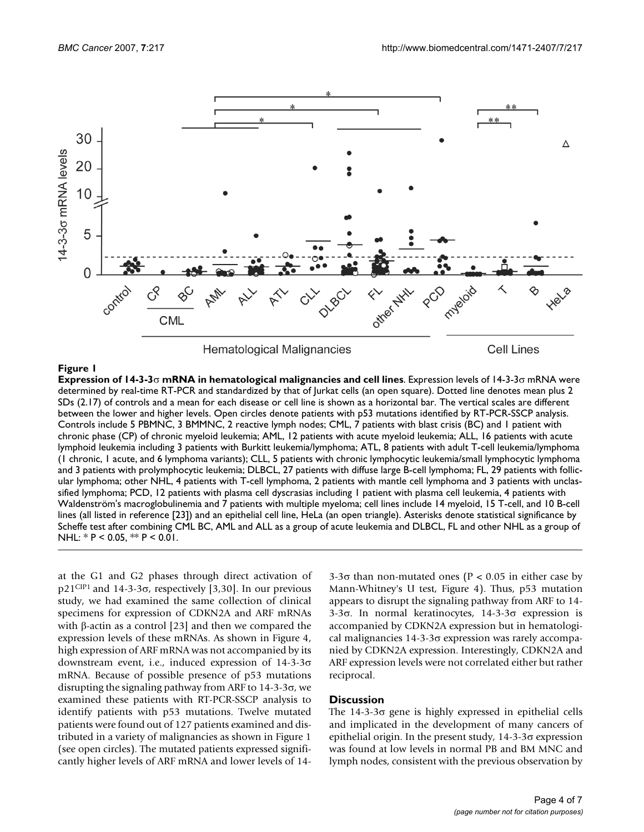

#### **Figure 1**

**Expression of 14-3-3**σ **mRNA in hematological malignancies and cell lines**. Expression levels of 14-3-3σ mRNA were determined by real-time RT-PCR and standardized by that of Jurkat cells (an open square). Dotted line denotes mean plus 2 SDs (2.17) of controls and a mean for each disease or cell line is shown as a horizontal bar. The vertical scales are different between the lower and higher levels. Open circles denote patients with p53 mutations identified by RT-PCR-SSCP analysis. Controls include 5 PBMNC, 3 BMMNC, 2 reactive lymph nodes; CML, 7 patients with blast crisis (BC) and 1 patient with chronic phase (CP) of chronic myeloid leukemia; AML, 12 patients with acute myeloid leukemia; ALL, 16 patients with acute lymphoid leukemia including 3 patients with Burkitt leukemia/lymphoma; ATL, 8 patients with adult T-cell leukemia/lymphoma (1 chronic, 1 acute, and 6 lymphoma variants); CLL, 5 patients with chronic lymphocytic leukemia/small lymphocytic lymphoma and 3 patients with prolymphocytic leukemia; DLBCL, 27 patients with diffuse large B-cell lymphoma; FL, 29 patients with follicular lymphoma; other NHL, 4 patients with T-cell lymphoma, 2 patients with mantle cell lymphoma and 3 patients with unclassified lymphoma; PCD, 12 patients with plasma cell dyscrasias including 1 patient with plasma cell leukemia, 4 patients with Waldenström's macroglobulinemia and 7 patients with multiple myeloma; cell lines include 14 myeloid, 15 T-cell, and 10 B-cell lines (all listed in reference [23]) and an epithelial cell line, HeLa (an open triangle). Asterisks denote statistical significance by Scheffe test after combining CML BC, AML and ALL as a group of acute leukemia and DLBCL, FL and other NHL as a group of NHL:  $*$  P < 0.05,  $*$  P < 0.01.

at the G1 and G2 phases through direct activation of p21<sup>CIP1</sup> and 14-3-3σ, respectively [3,30]. In our previous study, we had examined the same collection of clinical specimens for expression of CDKN2A and ARF mRNAs with β-actin as a control [23] and then we compared the expression levels of these mRNAs. As shown in Figure 4, high expression of ARF mRNA was not accompanied by its downstream event, i.e., induced expression of 14-3-3σ mRNA. Because of possible presence of p53 mutations disrupting the signaling pathway from ARF to 14-3-3σ, we examined these patients with RT-PCR-SSCP analysis to identify patients with p53 mutations. Twelve mutated patients were found out of 127 patients examined and distributed in a variety of malignancies as shown in Figure 1 (see open circles). The mutated patients expressed significantly higher levels of ARF mRNA and lower levels of 143-3σ than non-mutated ones ( $P < 0.05$  in either case by Mann-Whitney's U test, Figure 4). Thus, p53 mutation appears to disrupt the signaling pathway from ARF to 14- 3-3σ. In normal keratinocytes, 14-3-3σ expression is accompanied by CDKN2A expression but in hematological malignancies 14-3-3σ expression was rarely accompanied by CDKN2A expression. Interestingly, CDKN2A and ARF expression levels were not correlated either but rather reciprocal.

#### **Discussion**

The  $14-3-3\sigma$  gene is highly expressed in epithelial cells and implicated in the development of many cancers of epithelial origin. In the present study,  $14-3-3\sigma$  expression was found at low levels in normal PB and BM MNC and lymph nodes, consistent with the previous observation by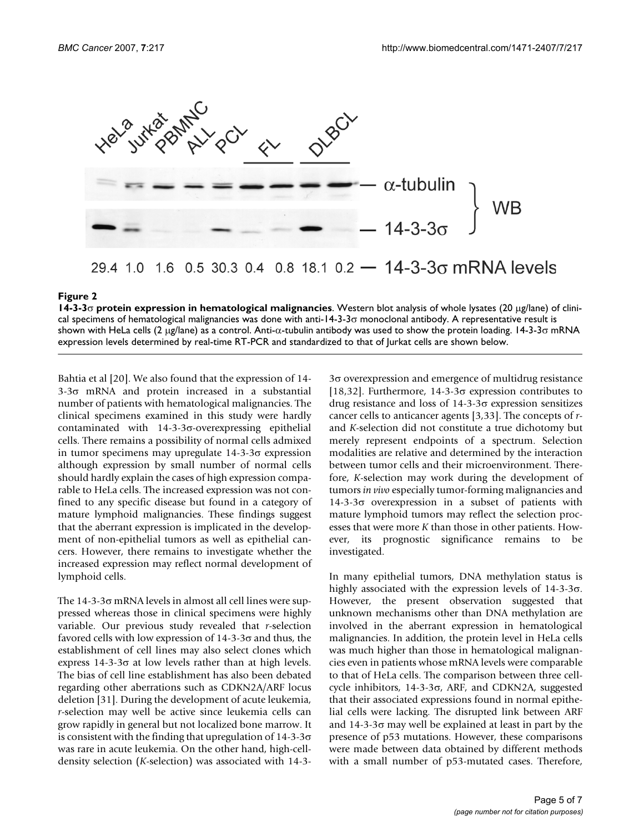

# 29.4 1.0 1.6 0.5 30.3 0.4 0.8 18.1 0.2  $-$  14-3-3 $\sigma$  mRNA levels

#### **Figure 2**

**14-3-3**σ **protein expression in hematological malignancies**. Western blot analysis of whole lysates (20 µg/lane) of clinical specimens of hematological malignancies was done with anti-14-3-3 $\sigma$  monoclonal antibody. A representative result is shown with HeLa cells (2 µg/lane) as a control. Anti-α-tubulin antibody was used to show the protein loading. 14-3-3σ mRNA expression levels determined by real-time RT-PCR and standardized to that of Jurkat cells are shown below.

Bahtia et al [20]. We also found that the expression of 14- 3-3σ mRNA and protein increased in a substantial number of patients with hematological malignancies. The clinical specimens examined in this study were hardly contaminated with 14-3-3σ-overexpressing epithelial cells. There remains a possibility of normal cells admixed in tumor specimens may upregulate 14-3-3σ expression although expression by small number of normal cells should hardly explain the cases of high expression comparable to HeLa cells. The increased expression was not confined to any specific disease but found in a category of mature lymphoid malignancies. These findings suggest that the aberrant expression is implicated in the development of non-epithelial tumors as well as epithelial cancers. However, there remains to investigate whether the increased expression may reflect normal development of lymphoid cells.

The 14-3-3σ mRNA levels in almost all cell lines were suppressed whereas those in clinical specimens were highly variable. Our previous study revealed that *r*-selection favored cells with low expression of 14-3-3σ and thus, the establishment of cell lines may also select clones which express  $14-3-3σ$  at low levels rather than at high levels. The bias of cell line establishment has also been debated regarding other aberrations such as CDKN2A/ARF locus deletion [31]. During the development of acute leukemia, *r*-selection may well be active since leukemia cells can grow rapidly in general but not localized bone marrow. It is consistent with the finding that upregulation of  $14-3-3\sigma$ was rare in acute leukemia. On the other hand, high-celldensity selection (*K*-selection) was associated with 14-33σ overexpression and emergence of multidrug resistance [18,32]. Furthermore, 14-3-3 $\sigma$  expression contributes to drug resistance and loss of 14-3-3σ expression sensitizes cancer cells to anticancer agents [3,33]. The concepts of *r*and *K*-selection did not constitute a true dichotomy but merely represent endpoints of a spectrum. Selection modalities are relative and determined by the interaction between tumor cells and their microenvironment. Therefore, *K*-selection may work during the development of tumors *in vivo* especially tumor-forming malignancies and 14-3-3σ overexpression in a subset of patients with mature lymphoid tumors may reflect the selection processes that were more *K* than those in other patients. However, its prognostic significance remains to be investigated.

In many epithelial tumors, DNA methylation status is highly associated with the expression levels of 14-3-3σ. However, the present observation suggested that unknown mechanisms other than DNA methylation are involved in the aberrant expression in hematological malignancies. In addition, the protein level in HeLa cells was much higher than those in hematological malignancies even in patients whose mRNA levels were comparable to that of HeLa cells. The comparison between three cellcycle inhibitors, 14-3-3σ, ARF, and CDKN2A, suggested that their associated expressions found in normal epithelial cells were lacking. The disrupted link between ARF and 14-3-3σ may well be explained at least in part by the presence of p53 mutations. However, these comparisons were made between data obtained by different methods with a small number of p53-mutated cases. Therefore,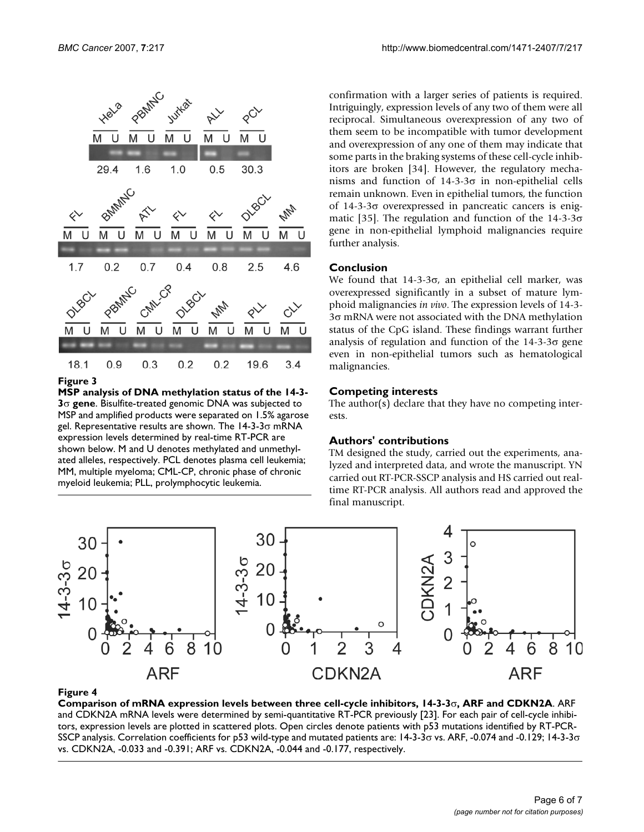

**Figure 3** 

**MSP analysis of DNA methylation status of the 14-3- 3**σ **gene**. Bisulfite-treated genomic DNA was subjected to MSP and amplified products were separated on 1.5% agarose gel. Representative results are shown. The  $14-3-3\sigma$  mRNA expression levels determined by real-time RT-PCR are shown below. M and U denotes methylated and unmethylated alleles, respectively. PCL denotes plasma cell leukemia; MM, multiple myeloma; CML-CP, chronic phase of chronic myeloid leukemia; PLL, prolymphocytic leukemia.

confirmation with a larger series of patients is required. Intriguingly, expression levels of any two of them were all reciprocal. Simultaneous overexpression of any two of them seem to be incompatible with tumor development and overexpression of any one of them may indicate that some parts in the braking systems of these cell-cycle inhibitors are broken [34]. However, the regulatory mechanisms and function of  $14-3-3\sigma$  in non-epithelial cells remain unknown. Even in epithelial tumors, the function of 14-3-3σ overexpressed in pancreatic cancers is enigmatic [35]. The regulation and function of the  $14-3-3\sigma$ gene in non-epithelial lymphoid malignancies require further analysis.

#### **Conclusion**

We found that  $14-3-3\sigma$ , an epithelial cell marker, was overexpressed significantly in a subset of mature lymphoid malignancies *in vivo*. The expression levels of 14-3- 3σ mRNA were not associated with the DNA methylation status of the CpG island. These findings warrant further analysis of regulation and function of the 14-3-3σ gene even in non-epithelial tumors such as hematological malignancies.

#### **Competing interests**

The author(s) declare that they have no competing interests.

#### **Authors' contributions**

TM designed the study, carried out the experiments, analyzed and interpreted data, and wrote the manuscript. YN carried out RT-PCR-SSCP analysis and HS carried out realtime RT-PCR analysis. All authors read and approved the final manuscript.



#### Comparison of mRNA expression levels **Figure 4** between three cell-cycle inhibitors, 14-3-3σ, ARF and CDKN2A

**Comparison of mRNA expression levels between three cell-cycle inhibitors, 14-3-3**σ**, ARF and CDKN2A**. ARF and CDKN2A mRNA levels were determined by semi-quantitative RT-PCR previously [23]. For each pair of cell-cycle inhibitors, expression levels are plotted in scattered plots. Open circles denote patients with p53 mutations identified by RT-PCR-SSCP analysis. Correlation coefficients for p53 wild-type and mutated patients are: 14-3-3σ vs. ARF, -0.074 and -0.129; 14-3-3σ vs. CDKN2A, -0.033 and -0.391; ARF vs. CDKN2A, -0.044 and -0.177, respectively.